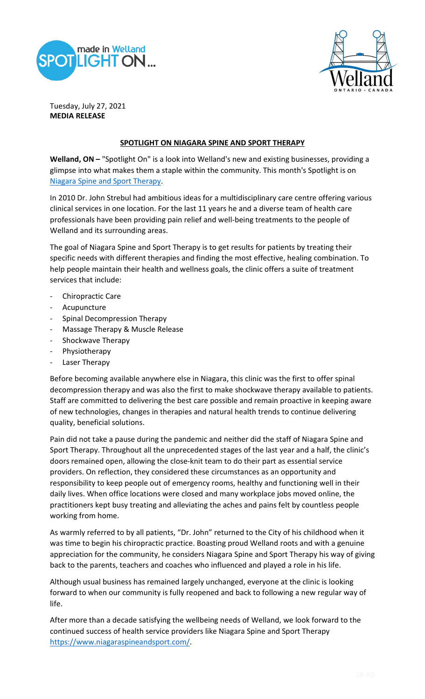



Tuesday, July 27, 2021 **MEDIA RELEASE**

## **SPOTLIGHT ON NIAGARA SPINE AND SPORT THERAPY**

Welland, ON - "Spotlight On" is a look into Welland's new and existing businesses, providing a glimpse into what makes them a staple within the community. This month's Spotlight is on [Niagara Spine and Sport Therapy.](https://www.niagaraspineandsport.com/?UTM_Source=GBL)

In 2010 Dr. John Strebul had ambitious ideas for a multidisciplinary care centre offering various clinical services in one location. For the last 11 years he and a diverse team of health care professionals have been providing pain relief and well-being treatments to the people of Welland and its surrounding areas.

The goal of Niagara Spine and Sport Therapy is to get results for patients by treating their specific needs with different therapies and finding the most effective, healing combination. To help people maintain their health and wellness goals, the clinic offers a suite of treatment services that include:

- Chiropractic Care
- Acupuncture
- Spinal Decompression Therapy
- Massage Therapy & Muscle Release
- Shockwave Therapy
- Physiotherapy
- Laser Therapy

Before becoming available anywhere else in Niagara, this clinic was the first to offer spinal decompression therapy and was also the first to make shockwave therapy available to patients. Staff are committed to delivering the best care possible and remain proactive in keeping aware of new technologies, changes in therapies and natural health trends to continue delivering quality, beneficial solutions.

Pain did not take a pause during the pandemic and neither did the staff of Niagara Spine and Sport Therapy. Throughout all the unprecedented stages of the last year and a half, the clinic's doors remained open, allowing the close-knit team to do their part as essential service providers. On reflection, they considered these circumstances as an opportunity and responsibility to keep people out of emergency rooms, healthy and functioning well in their daily lives. When office locations were closed and many workplace jobs moved online, the practitioners kept busy treating and alleviating the aches and pains felt by countless people working from home.

As warmly referred to by all patients, "Dr. John" returned to the City of his childhood when it was time to begin his chiropractic practice. Boasting proud Welland roots and with a genuine appreciation for the community, he considers Niagara Spine and Sport Therapy his way of giving back to the parents, teachers and coaches who influenced and played a role in his life.

Although usual business has remained largely unchanged, everyone at the clinic is looking forward to when our community is fully reopened and back to following a new regular way of life.

After more than a decade satisfying the wellbeing needs of Welland, we look forward to the continued success of health service providers like Niagara Spine and Sport Therapy [https://www.niagaraspineandsport.com/.](https://www.niagaraspineandsport.com/)